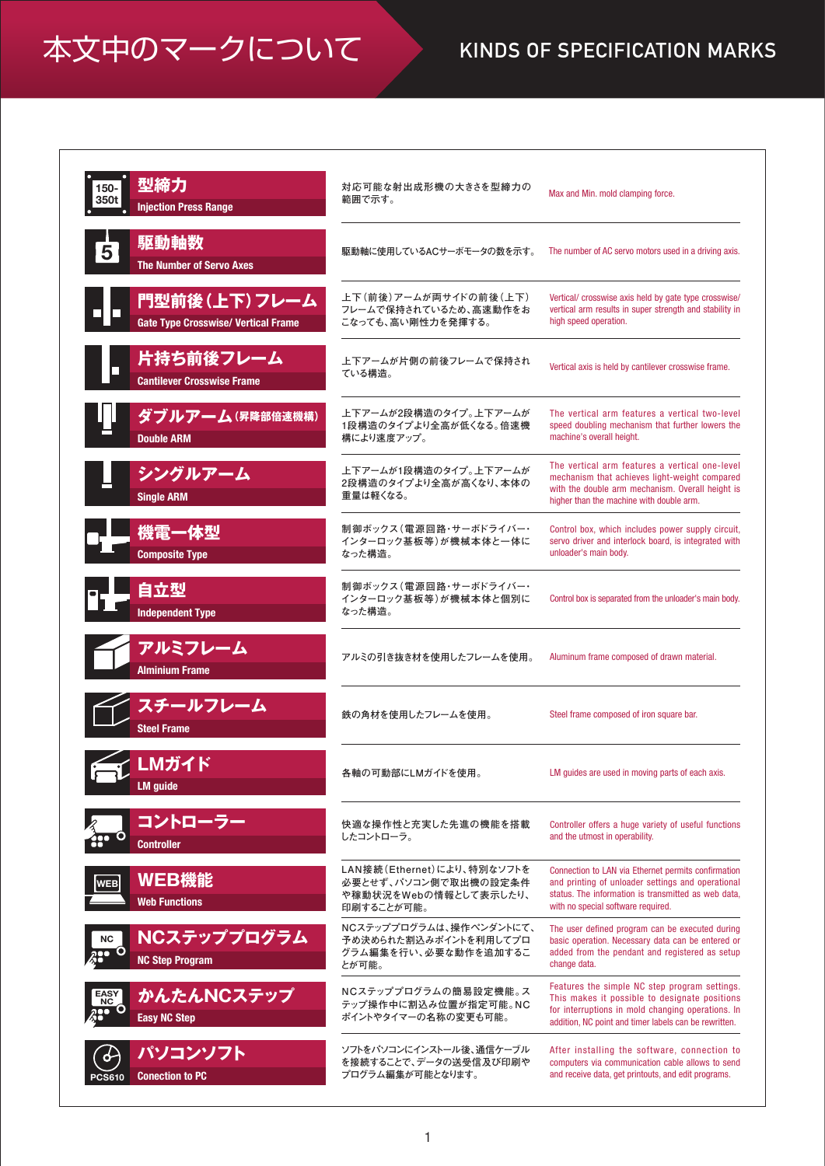## 本文中のマークについて KINDS OF SPECIFICATION MARKS

| 型締力<br>150-<br>350t<br><b>Injection Press Range</b>          | 対応可能な射出成形機の大きさを型締力の<br>範囲で示す。                                                             | Max and Min. mold clamping force.                                                                                                                                                                            |
|--------------------------------------------------------------|-------------------------------------------------------------------------------------------|--------------------------------------------------------------------------------------------------------------------------------------------------------------------------------------------------------------|
| 駆動軸数<br>5<br><b>The Number of Servo Axes</b>                 | 駆動軸に使用しているACサーボモータの数を示す。                                                                  | The number of AC servo motors used in a driving axis.                                                                                                                                                        |
| 門型前後 (上下) フレーム<br><b>Gate Type Crosswise/ Vertical Frame</b> | 上下(前後)アームが両サイドの前後(上下)<br>フレームで保持されているため、高速動作をお<br>こなっても、高い剛性力を発揮する。                       | Vertical/ crosswise axis held by gate type crosswise/<br>vertical arm results in super strength and stability in<br>high speed operation.                                                                    |
| 片持ち前後フレーム<br><b>Cantilever Crosswise Frame</b>               | 上下アームが片側の前後フレームで保持され<br>ている構造。                                                            | Vertical axis is held by cantilever crosswise frame.                                                                                                                                                         |
| ダブルアーム(昇降部倍速機構)<br><b>Double ARM</b>                         | 上下アームが2段構造のタイプ。上下アームが<br>1段構造のタイプより全高が低くなる。倍速機<br>構により速度アップ。                              | The vertical arm features a vertical two-level<br>speed doubling mechanism that further lowers the<br>machine's overall height.                                                                              |
| シングルアーム<br><b>Single ARM</b>                                 | 上下アームが1段構造のタイプ。上下アームが<br>2段構造のタイプより全高が高くなり、本体の<br>重量は軽くなる。                                | The vertical arm features a vertical one-level<br>mechanism that achieves light-weight compared<br>with the double arm mechanism. Overall height is<br>higher than the machine with double arm.              |
| 機電一体型<br><b>Composite Type</b>                               | 制御ボックス (電源回路・サーボドライバー・<br>インターロック基板等)が機械本体と一体に<br>なった構造。                                  | Control box, which includes power supply circuit,<br>servo driver and interlock board, is integrated with<br>unloader's main body.                                                                           |
| 自立型<br><b>Independent Type</b>                               | 制御ボックス (電源回路・サーボドライバー・<br>インターロック基板等)が機械本体と個別に<br>なった構造。                                  | Control box is separated from the unloader's main body.                                                                                                                                                      |
| アルミフレーム<br><b>Alminium Frame</b>                             | アルミの引き抜き材を使用したフレームを使用。                                                                    | Aluminum frame composed of drawn material.                                                                                                                                                                   |
| スチールフレーム<br><b>Steel Frame</b>                               | 鉄の角材を使用したフレームを使用。                                                                         | Steel frame composed of iron square bar.                                                                                                                                                                     |
| r LMガイド<br><b>LM</b> guide                                   | 各軸の可動部にLMガイドを使用。                                                                          | LM guides are used in moving parts of each axis.                                                                                                                                                             |
| コントローラー<br><b>Controller</b>                                 | 快適な操作性と充実した先進の機能を搭載<br>したコントローラ。                                                          | Controller offers a huge variety of useful functions<br>and the utmost in operability.                                                                                                                       |
| WEB機能<br><b>WEB</b><br><b>Web Functions</b>                  | LAN接続(Ethernet)により、特別なソフトを<br>必要とせず、パソコン側で取出機の設定条件<br>や稼動状況をWebの情報として表示したり、<br>印刷することが可能。 | Connection to LAN via Ethernet permits confirmation<br>and printing of unloader settings and operational<br>status. The information is transmitted as web data,<br>with no special software required.        |
| NCステッププログラム<br>NC<br>Ο<br><b>NC Step Program</b>             | NCステッププログラムは、操作ペンダントにて、<br>予め決められた割込みポイントを利用してプロ<br>グラム編集を行い、必要な動作を追加するこ<br>とが可能。         | The user defined program can be executed during<br>basic operation. Necessary data can be entered or<br>added from the pendant and registered as setup<br>change data.                                       |
| かんたんNCステップ<br>EASY<br>NC<br>igo O<br><b>Easy NC Step</b>     | NCステッププログラムの簡易設定機能。ス<br>テップ操作中に割込み位置が指定可能。NC<br>ポイントやタイマーの名称の変更も可能。                       | Features the simple NC step program settings.<br>This makes it possible to designate positions<br>for interruptions in mold changing operations. In<br>addition, NC point and timer labels can be rewritten. |
| パソコンソフト<br>♦<br><b>Conection to PC</b><br><b>PCS610</b>      | ソフトをパソコンにインストール後、通信ケーブル<br>を接続することで、データの送受信及び印刷や<br>プログラム編集が可能となります。                      | After installing the software, connection to<br>computers via communication cable allows to send<br>and receive data, get printouts, and edit programs.                                                      |